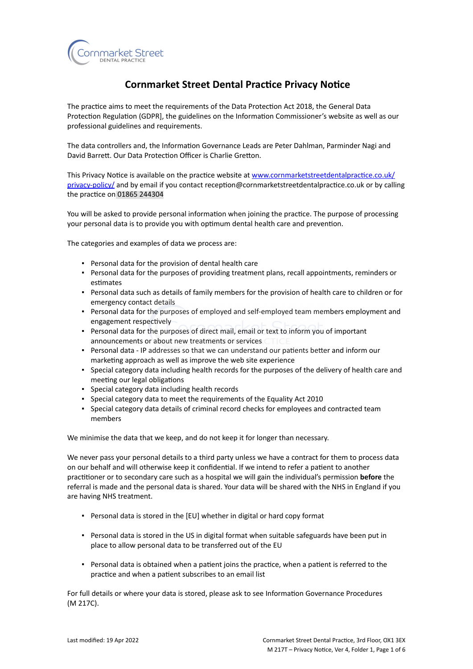

# **Cornmarket Street Dental Practice Privacy Notice**

The practice aims to meet the requirements of the Data Protection Act 2018, the General Data Protection Regulation (GDPR], the guidelines on the Information Commissioner's website as well as our professional guidelines and requirements.

The data controllers and, the Information Governance Leads are Peter Dahlman, Parminder Nagi and David Barrett. Our Data Protection Officer is Charlie Gretton.

This Privacy Notice is available on the practice website at [www.cornmarketstreetdentalpractice.co.uk/](https://www.cornmarketstreetdentalpractice.co.uk/privacy-policy/) [privacy-policy/](https://www.cornmarketstreetdentalpractice.co.uk/privacy-policy/) and by email if you contact reception@cornmarketstreetdentalpractice.co.uk or by calling the practice on 01865 244304

You will be asked to provide personal information when joining the practice. The purpose of processing your personal data is to provide you with optimum dental health care and prevention.

The categories and examples of data we process are:

- Personal data for the provision of dental health care
- Personal data for the purposes of providing treatment plans, recall appointments, reminders or estimates
- Personal data such as details of family members for the provision of health care to children or for emergency contact details
- Personal data for the purposes of employed and self-employed team members employment and engagement respectively
- Personal data for the purposes of direct mail, email or text to inform you of important announcements or about new treatments or services
- Personal data IP addresses so that we can understand our patients better and inform our marketing approach as well as improve the web site experience
- Special category data including health records for the purposes of the delivery of health care and meeting our legal obligations
- Special category data including health records
- Special category data to meet the requirements of the Equality Act 2010
- Special category data details of criminal record checks for employees and contracted team members

We minimise the data that we keep, and do not keep it for longer than necessary.

We never pass your personal details to a third party unless we have a contract for them to process data on our behalf and will otherwise keep it confidential. If we intend to refer a patient to another practitioner or to secondary care such as a hospital we will gain the individual's permission **before** the referral is made and the personal data is shared. Your data will be shared with the NHS in England if you are having NHS treatment.

- Personal data is stored in the [EU] whether in digital or hard copy format
- Personal data is stored in the US in digital format when suitable safeguards have been put in place to allow personal data to be transferred out of the EU
- Personal data is obtained when a patient joins the practice, when a patient is referred to the practice and when a patient subscribes to an email list

For full details or where your data is stored, please ask to see Information Governance Procedures (M 217C).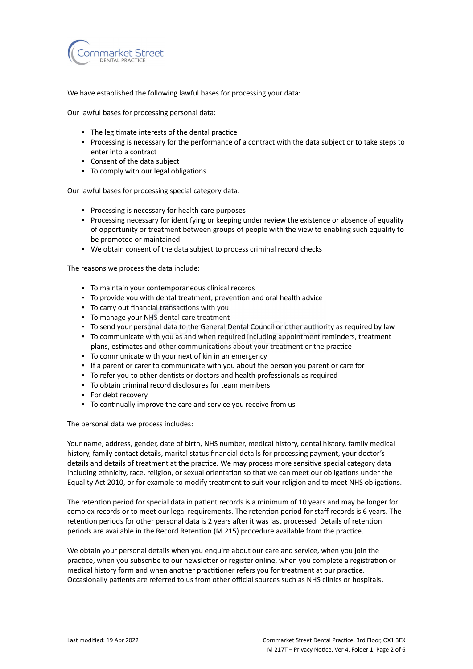

We have established the following lawful bases for processing your data:

Our lawful bases for processing personal data:

- The legitimate interests of the dental practice
- Processing is necessary for the performance of a contract with the data subject or to take steps to enter into a contract
- Consent of the data subject
- To comply with our legal obligations

Our lawful bases for processing special category data:

- Processing is necessary for health care purposes
- Processing necessary for identifying or keeping under review the existence or absence of equality of opportunity or treatment between groups of people with the view to enabling such equality to be promoted or maintained
- We obtain consent of the data subject to process criminal record checks

The reasons we process the data include:

- To maintain your contemporaneous clinical records
- To provide you with dental treatment, prevention and oral health advice
- To carry out financial transactions with you
- To manage your NHS dental care treatment
- To send your personal data to the General Dental Council or other authority as required by law
- To communicate with you as and when required including appointment reminders, treatment plans, estimates and other communications about your treatment or the practice
- To communicate with your next of kin in an emergency
- If a parent or carer to communicate with you about the person you parent or care for
- To refer you to other dentists or doctors and health professionals as required
- To obtain criminal record disclosures for team members
- For debt recovery
- To continually improve the care and service you receive from us

The personal data we process includes:

Your name, address, gender, date of birth, NHS number, medical history, dental history, family medical history, family contact details, marital status financial details for processing payment, your doctor's details and details of treatment at the practice. We may process more sensitive special category data including ethnicity, race, religion, or sexual orientation so that we can meet our obligations under the Equality Act 2010, or for example to modify treatment to suit your religion and to meet NHS obligations.

The retention period for special data in patient records is a minimum of 10 years and may be longer for complex records or to meet our legal requirements. The retention period for staff records is 6 years. The retention periods for other personal data is 2 years after it was last processed. Details of retention periods are available in the Record Retention (M 215) procedure available from the practice.

We obtain your personal details when you enquire about our care and service, when you join the practice, when you subscribe to our newsletter or register online, when you complete a registration or medical history form and when another practitioner refers you for treatment at our practice. Occasionally patients are referred to us from other official sources such as NHS clinics or hospitals.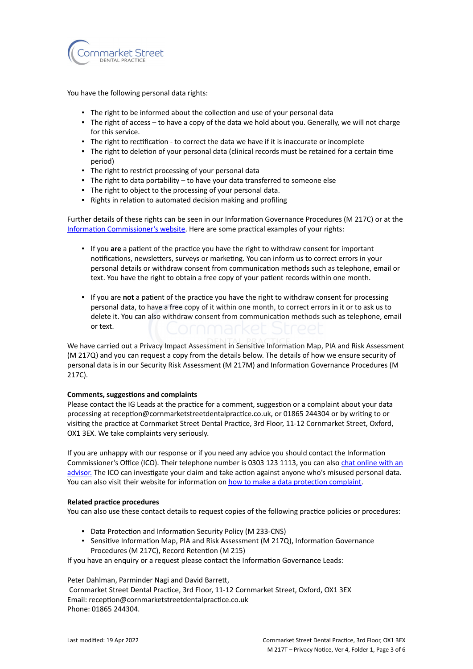

You have the following personal data rights:

- **.** The right to be informed about the collection and use of your personal data
- The right of access to have a copy of the data we hold about you. Generally, we will not charge for this service.
- **·** The right to rectification to correct the data we have if it is inaccurate or incomplete
- The right to deletion of your personal data (clinical records must be retained for a certain time period)
- The right to restrict processing of your personal data
- The right to data portability to have your data transferred to someone else
- The right to object to the processing of your personal data.
- Rights in relation to automated decision making and profiling

Further details of these rights can be seen in our Information Governance Procedures (M 217C) or at the [Information Commissioner's website](https://ico.org.uk/for-organisations/guide-to-the-general-data-protection-regulation-gdpr/individual-rights/). Here are some practical examples of your rights:

- If you **are** a patient of the practice you have the right to withdraw consent for important notifications, newsletters, surveys or marketing. You can inform us to correct errors in your personal details or withdraw consent from communication methods such as telephone, email or text. You have the right to obtain a free copy of your patient records within one month.
- If you are **not** a patient of the practice you have the right to withdraw consent for processing personal data, to have a free copy of it within one month, to correct errors in it or to ask us to delete it. You can also withdraw consent from communication methods such as telephone, email or text.

We have carried out a Privacy Impact Assessment in Sensitive Information Map, PIA and Risk Assessment (M 217Q) and you can request a copy from the details below. The details of how we ensure security of personal data is in our Security Risk Assessment (M 217M) and Information Governance Procedures (M 217C).

#### **Comments, suggestions and complaints**

Please contact the IG Leads at the practice for a comment, suggestion or a complaint about your data processing at reception@cornmarketstreetdentalpractice.co.uk, or 01865 244304 or by writing to or visiting the practice at Cornmarket Street Dental Practice, 3rd Floor, 11-12 Cornmarket Street, Oxford, OX1 3EX. We take complaints very seriously.

If you are unhappy with our response or if you need any advice you should contact the Information Commissioner's Office (ICO). Their telephone number is 0303 123 1113, you can also [chat online with an](https://ico.org.uk/global/contact-us/live-chat/) [advisor.](https://ico.org.uk/global/contact-us/live-chat/) The ICO can investigate your claim and take action against anyone who's misused personal data. You can also visit their website for information on [how to make a data protection complaint](http://www.ico.org.uk/complaints).

#### **Related practice procedures**

You can also use these contact details to request copies of the following practice policies or procedures:

- Data Protection and Information Security Policy (M 233-CNS)
- **Sensitive Information Map, PIA and Risk Assessment (M 217Q), Information Governance** Procedures (M 217C), Record Retention (M 215)

If you have an enquiry or a request please contact the Information Governance Leads:

Peter Dahlman, Parminder Nagi and David Barrett,

Cornmarket Street Dental Practice, 3rd Floor, 11-12 Cornmarket Street, Oxford, OX1 3EX Email: reception@cornmarketstreetdentalpractice.co.uk Phone: 01865 244304.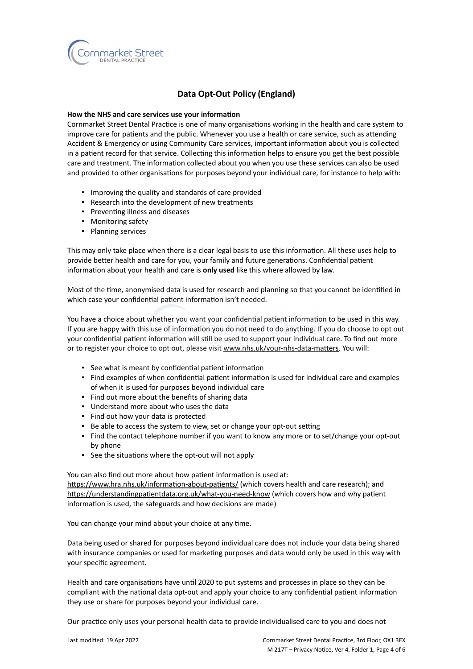

## **Data Opt-Out Policy (England)**

#### **How the NHS and care services use your information**

Cornmarket Street Dental Practice is one of many organisations working in the health and care system to improve care for patients and the public. Whenever you use a health or care service, such as attending Accident & Emergency or using Community Care services, important information about you is collected in a patient record for that service. Collecting this information helps to ensure you get the best possible care and treatment. The information collected about you when you use these services can also be used and provided to other organisations for purposes beyond your individual care, for instance to help with:

- Improving the quality and standards of care provided
- Research into the development of new treatments
- Preventing illness and diseases
- Monitoring safety
- Planning services

This may only take place when there is a clear legal basis to use this information. All these uses help to provide better health and care for you, your family and future generations. Confidential patient information about your health and care is **only used** like this where allowed by law.

Most of the time, anonymised data is used for research and planning so that you cannot be identified in which case your confidential patient information isn't needed.

You have a choice about whether you want your confidential patient information to be used in this way. If you are happy with this use of information you do not need to do anything. If you do choose to opt out your confidential patient information will still be used to support your individual care. To find out more or to register your choice to opt out, please visit [www.nhs.uk/your-nhs-data-matters](http://www.nhs.uk/your-nhs-data-matters). You will:

- See what is meant by confidential patient information
- Find examples of when confidential patient information is used for individual care and examples of when it is used for purposes beyond individual care
- Find out more about the benefits of sharing data
- Understand more about who uses the data
- Find out how your data is protected
- Be able to access the system to view, set or change your opt-out setting
- Find the contact telephone number if you want to know any more or to set/change your opt-out by phone
- See the situations where the opt-out will not apply

You can also find out more about how patient information is used at: [https://www.hra.nhs.uk/information-about-patients/](https://www.hra.nhs.uk/information-about-patients/%20) (which covers health and care research); and <https://understandingpatientdata.org.uk/what-you-need-know> (which covers how and why patient information is used, the safeguards and how decisions are made)

You can change your mind about your choice at any time.

Data being used or shared for purposes beyond individual care does not include your data being shared with insurance companies or used for marketing purposes and data would only be used in this way with your specific agreement.

Health and care organisations have until 2020 to put systems and processes in place so they can be compliant with the national data opt-out and apply your choice to any confidential patient information they use or share for purposes beyond your individual care.

Our practice only uses your personal health data to provide individualised care to you and does not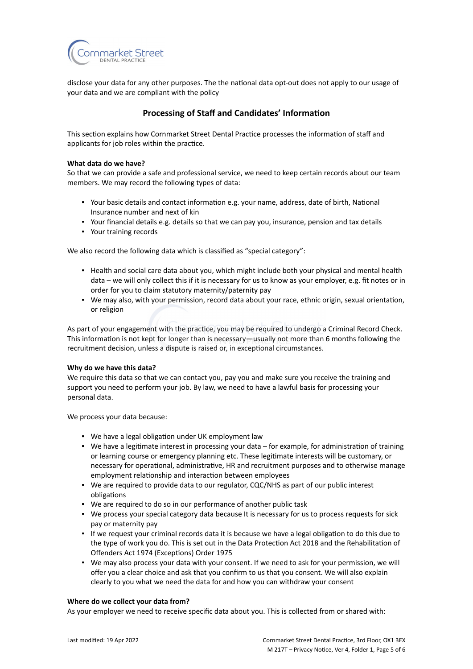

disclose your data for any other purposes. The the national data opt-out does not apply to our usage of your data and we are compliant with the policy

### **Processing of Staff and Candidates' Information**

This section explains how Cornmarket Street Dental Practice processes the information of staff and applicants for job roles within the practice.

#### **What data do we have?**

So that we can provide a safe and professional service, we need to keep certain records about our team members. We may record the following types of data:

- Your basic details and contact information e.g. your name, address, date of birth, National Insurance number and next of kin
- Your financial details e.g. details so that we can pay you, insurance, pension and tax details
- Your training records

We also record the following data which is classified as "special category":

- Health and social care data about you, which might include both your physical and mental health data – we will only collect this if it is necessary for us to know as your employer, e.g. fit notes or in order for you to claim statutory maternity/paternity pay
- We may also, with your permission, record data about your race, ethnic origin, sexual orientation, or religion

As part of your engagement with the practice, you may be required to undergo a Criminal Record Check. This information is not kept for longer than is necessary—usually not more than 6 months following the recruitment decision, unless a dispute is raised or, in exceptional circumstances.

#### **Why do we have this data?**

We require this data so that we can contact you, pay you and make sure you receive the training and support you need to perform your job. By law, we need to have a lawful basis for processing your personal data.

We process your data because:

- We have a legal obligation under UK employment law
- We have a legitimate interest in processing your data for example, for administration of training or learning course or emergency planning etc. These legitimate interests will be customary, or necessary for operational, administrative, HR and recruitment purposes and to otherwise manage employment relationship and interaction between employees
- We are required to provide data to our regulator, CQC/NHS as part of our public interest obligations
- We are required to do so in our performance of another public task
- We process your special category data because It is necessary for us to process requests for sick pay or maternity pay
- If we request your criminal records data it is because we have a legal obligation to do this due to the type of work you do. This is set out in the Data Protection Act 2018 and the Rehabilitation of Offenders Act 1974 (Exceptions) Order 1975
- We may also process your data with your consent. If we need to ask for your permission, we will offer you a clear choice and ask that you confirm to us that you consent. We will also explain clearly to you what we need the data for and how you can withdraw your consent

#### **Where do we collect your data from?**

As your employer we need to receive specific data about you. This is collected from or shared with: